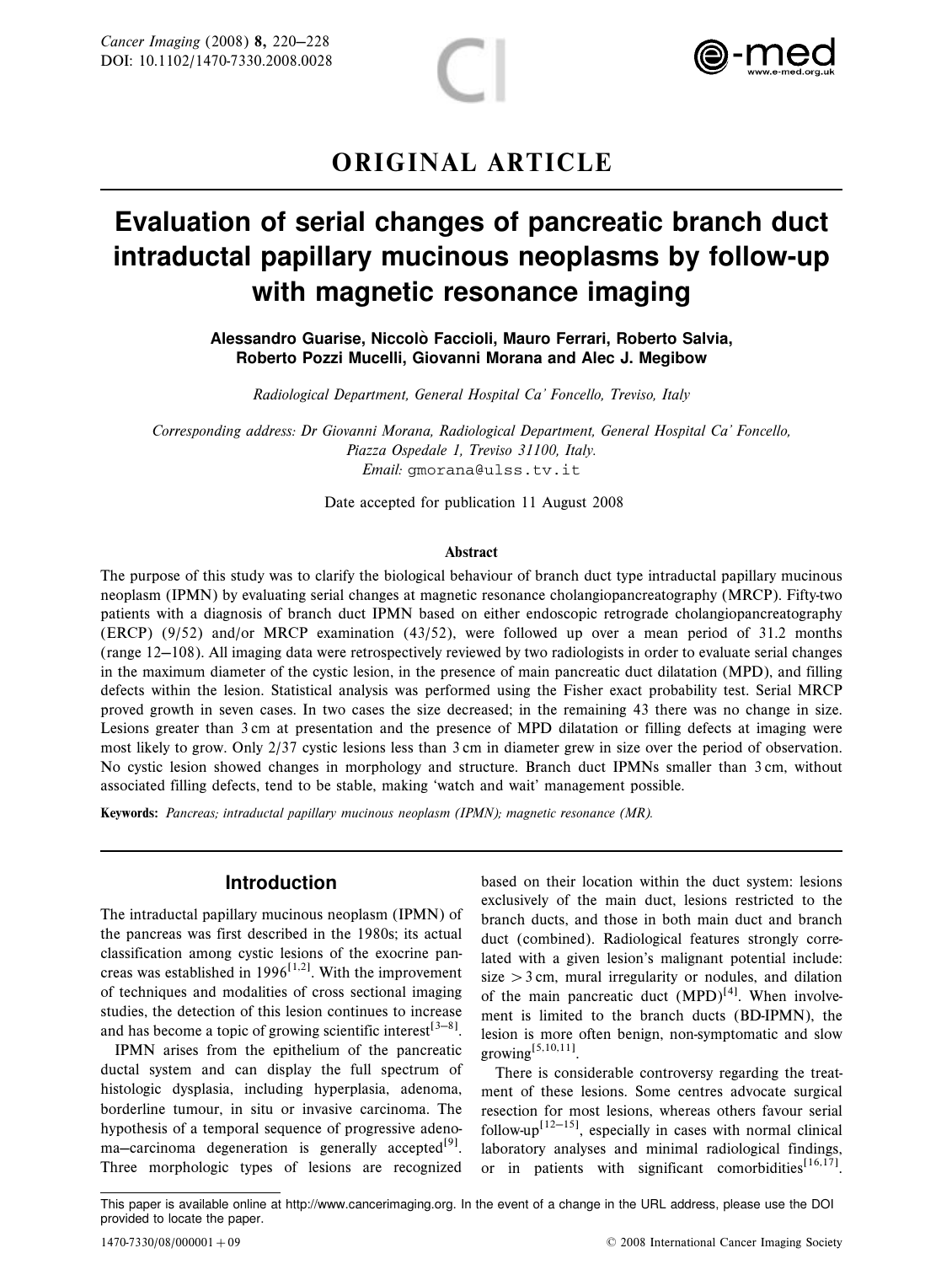



# ORIGINAL ARTICLE

# Evaluation of serial changes of pancreatic branch duct intraductal papillary mucinous neoplasms by follow-up with magnetic resonance imaging

Alessandro Guarise, Niccolò Faccioli, Mauro Ferrari, Roberto Salvia, Roberto Pozzi Mucelli, Giovanni Morana and Alec J. Megibow

Radiological Department, General Hospital Ca' Foncello, Treviso, Italy

Corresponding address: Dr Giovanni Morana, Radiological Department, General Hospital Ca' Foncello, Piazza Ospedale 1, Treviso 31100, Italy. Email: gmorana@ulss.tv.it

Date accepted for publication 11 August 2008

#### Abstract

The purpose of this study was to clarify the biological behaviour of branch duct type intraductal papillary mucinous neoplasm (IPMN) by evaluating serial changes at magnetic resonance cholangiopancreatography (MRCP). Fifty-two patients with a diagnosis of branch duct IPMN based on either endoscopic retrograde cholangiopancreatography (ERCP) (9/52) and/or MRCP examination (43/52), were followed up over a mean period of 31.2 months (range  $12-108$ ). All imaging data were retrospectively reviewed by two radiologists in order to evaluate serial changes in the maximum diameter of the cystic lesion, in the presence of main pancreatic duct dilatation (MPD), and filling defects within the lesion. Statistical analysis was performed using the Fisher exact probability test. Serial MRCP proved growth in seven cases. In two cases the size decreased; in the remaining 43 there was no change in size. Lesions greater than 3 cm at presentation and the presence of MPD dilatation or filling defects at imaging were most likely to grow. Only 2/37 cystic lesions less than 3 cm in diameter grew in size over the period of observation. No cystic lesion showed changes in morphology and structure. Branch duct IPMNs smaller than 3 cm, without associated filling defects, tend to be stable, making 'watch and wait' management possible.

Keywords: Pancreas; intraductal papillary mucinous neoplasm (IPMN); magnetic resonance (MR).

#### Introduction

The intraductal papillary mucinous neoplasm (IPMN) of the pancreas was first described in the 1980s; its actual classification among cystic lesions of the exocrine pancreas was established in 1996<sup>[1,2]</sup>. With the improvement of techniques and modalities of cross sectional imaging studies, the detection of this lesion continues to increase and has become a topic of growing scientific interest<sup>[3-8]</sup>.

IPMN arises from the epithelium of the pancreatic ductal system and can display the full spectrum of histologic dysplasia, including hyperplasia, adenoma, borderline tumour, in situ or invasive carcinoma. The hypothesis of a temporal sequence of progressive adenoma-carcinoma degeneration is generally accepted<sup>[9]</sup>. Three morphologic types of lesions are recognized based on their location within the duct system: lesions exclusively of the main duct, lesions restricted to the branch ducts, and those in both main duct and branch duct (combined). Radiological features strongly correlated with a given lesion's malignant potential include: size  $>$  3 cm, mural irregularity or nodules, and dilation of the main pancreatic duct  $(MPD)^{[4]}$ . When involvement is limited to the branch ducts (BD-IPMN), the lesion is more often benign, non-symptomatic and slow growing<sup>[5,10,11]</sup>.

There is considerable controversy regarding the treatment of these lesions. Some centres advocate surgical resection for most lesions, whereas others favour serial follow-up<sup>[12-15]</sup>, especially in cases with normal clinical laboratory analyses and minimal radiological findings, or in patients with significant comorbidities<sup>[16,17]</sup>.

This paper is available online at http://www.cancerimaging.org. In the event of a change in the URL address, please use the DOI provided to locate the paper.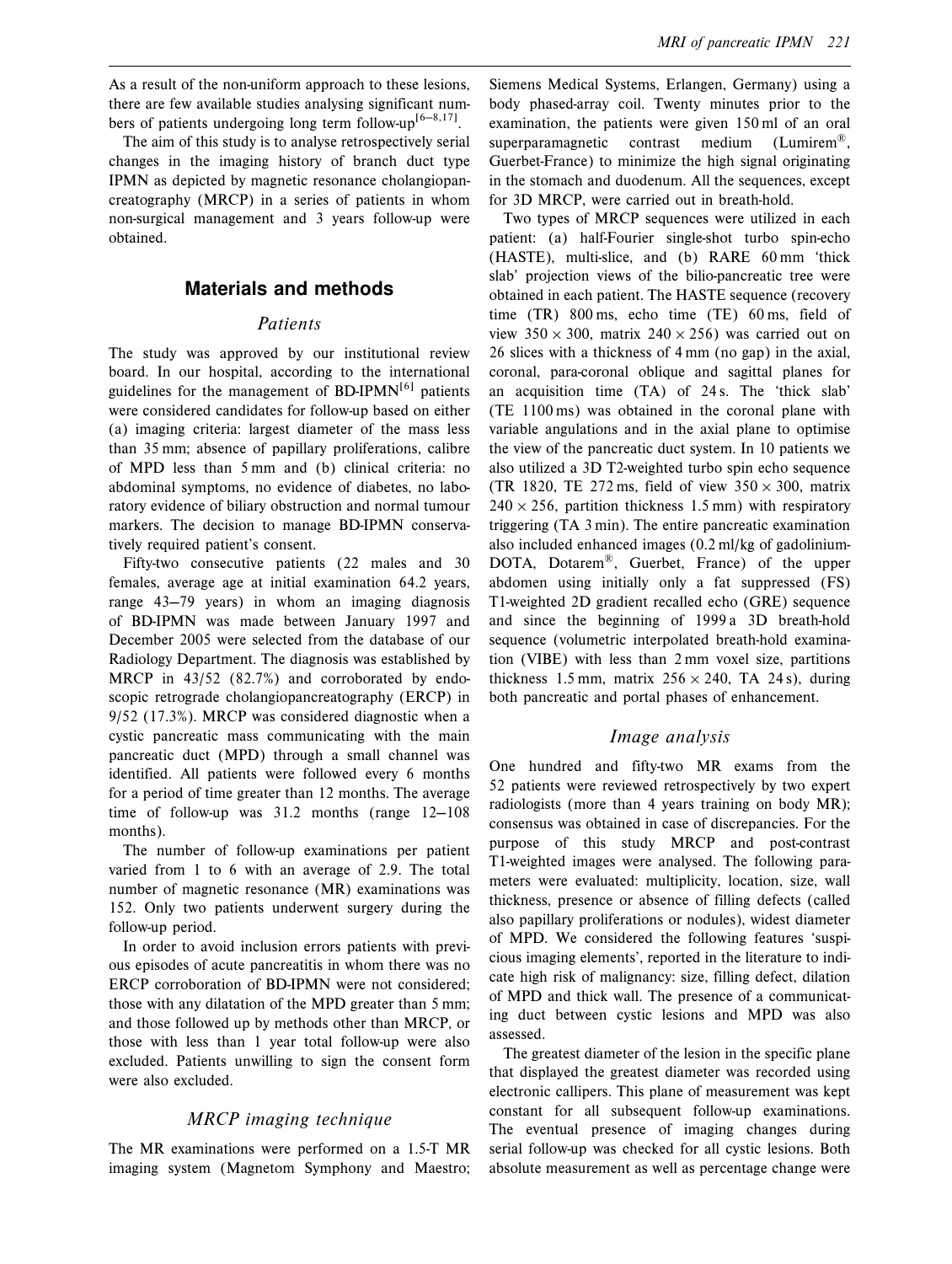The aim of this study is to analyse retrospectively serial changes in the imaging history of branch duct type IPMN as depicted by magnetic resonance cholangiopancreatography (MRCP) in a series of patients in whom non-surgical management and 3 years follow-up were obtained.

# Materials and methods

#### Patients

The study was approved by our institutional review board. In our hospital, according to the international guidelines for the management of  $BD-IPMN^{[6]}$  patients were considered candidates for follow-up based on either (a) imaging criteria: largest diameter of the mass less than 35 mm; absence of papillary proliferations, calibre of MPD less than 5 mm and (b) clinical criteria: no abdominal symptoms, no evidence of diabetes, no laboratory evidence of biliary obstruction and normal tumour markers. The decision to manage BD-IPMN conservatively required patient's consent.

Fifty-two consecutive patients (22 males and 30 females, average age at initial examination 64.2 years, range  $43-79$  years) in whom an imaging diagnosis of BD-IPMN was made between January 1997 and December 2005 were selected from the database of our Radiology Department. The diagnosis was established by MRCP in 43/52 (82.7%) and corroborated by endoscopic retrograde cholangiopancreatography (ERCP) in 9/52 (17.3%). MRCP was considered diagnostic when a cystic pancreatic mass communicating with the main pancreatic duct (MPD) through a small channel was identified. All patients were followed every 6 months for a period of time greater than 12 months. The average time of follow-up was  $31.2$  months (range  $12-108$ ) months).

The number of follow-up examinations per patient varied from 1 to 6 with an average of 2.9. The total number of magnetic resonance (MR) examinations was 152. Only two patients underwent surgery during the follow-up period.

In order to avoid inclusion errors patients with previous episodes of acute pancreatitis in whom there was no ERCP corroboration of BD-IPMN were not considered; those with any dilatation of the MPD greater than 5 mm; and those followed up by methods other than MRCP, or those with less than 1 year total follow-up were also excluded. Patients unwilling to sign the consent form were also excluded.

#### MRCP imaging technique

The MR examinations were performed on a 1.5-T MR imaging system (Magnetom Symphony and Maestro; Siemens Medical Systems, Erlangen, Germany) using a body phased-array coil. Twenty minutes prior to the examination, the patients were given 150 ml of an oral superparamagnetic contrast medium (Lumirem<sup>®</sup>). Guerbet-France) to minimize the high signal originating in the stomach and duodenum. All the sequences, except for 3D MRCP, were carried out in breath-hold.

Two types of MRCP sequences were utilized in each patient: (a) half-Fourier single-shot turbo spin-echo (HASTE), multi-slice, and (b) RARE 60 mm "thick slab' projection views of the bilio-pancreatic tree were obtained in each patient. The HASTE sequence (recovery time (TR) 800 ms, echo time (TE) 60 ms, field of view  $350 \times 300$ , matrix  $240 \times 256$ ) was carried out on 26 slices with a thickness of 4 mm (no gap) in the axial, coronal, para-coronal oblique and sagittal planes for an acquisition time  $(TA)$  of 24 s. The 'thick slab' (TE 1100 ms) was obtained in the coronal plane with variable angulations and in the axial plane to optimise the view of the pancreatic duct system. In 10 patients we also utilized a 3D T2-weighted turbo spin echo sequence (TR 1820, TE 272 ms, field of view  $350 \times 300$ , matrix  $240 \times 256$ , partition thickness 1.5 mm) with respiratory triggering (TA 3 min). The entire pancreatic examination also included enhanced images (0.2 ml/kg of gadolinium-DOTA, Dotarem<sup>®</sup>, Guerbet, France) of the upper abdomen using initially only a fat suppressed (FS) T1-weighted 2D gradient recalled echo (GRE) sequence and since the beginning of 1999 a 3D breath-hold sequence (volumetric interpolated breath-hold examination (VIBE) with less than 2 mm voxel size, partitions thickness 1.5 mm, matrix  $256 \times 240$ , TA 24 s), during both pancreatic and portal phases of enhancement.

#### Image analysis

One hundred and fifty-two MR exams from the 52 patients were reviewed retrospectively by two expert radiologists (more than 4 years training on body MR); consensus was obtained in case of discrepancies. For the purpose of this study MRCP and post-contrast T1-weighted images were analysed. The following parameters were evaluated: multiplicity, location, size, wall thickness, presence or absence of filling defects (called also papillary proliferations or nodules), widest diameter of MPD. We considered the following features "suspicious imaging elements', reported in the literature to indicate high risk of malignancy: size, filling defect, dilation of MPD and thick wall. The presence of a communicating duct between cystic lesions and MPD was also assessed.

The greatest diameter of the lesion in the specific plane that displayed the greatest diameter was recorded using electronic callipers. This plane of measurement was kept constant for all subsequent follow-up examinations. The eventual presence of imaging changes during serial follow-up was checked for all cystic lesions. Both absolute measurement as well as percentage change were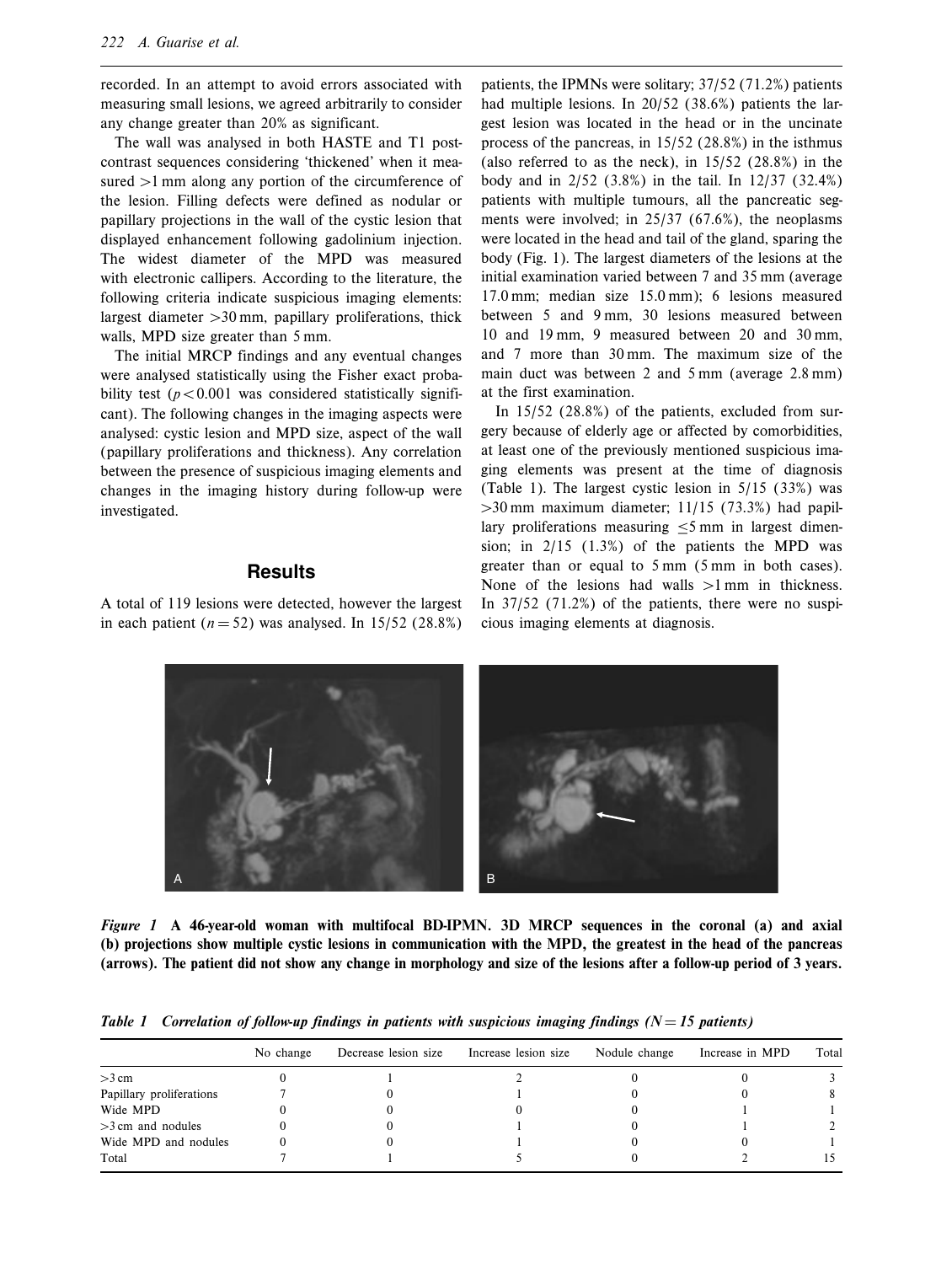recorded. In an attempt to avoid errors associated with measuring small lesions, we agreed arbitrarily to consider any change greater than 20% as significant.

The wall was analysed in both HASTE and T1 postcontrast sequences considering 'thickened' when it measured  $>1$  mm along any portion of the circumference of the lesion. Filling defects were defined as nodular or papillary projections in the wall of the cystic lesion that displayed enhancement following gadolinium injection. The widest diameter of the MPD was measured with electronic callipers. According to the literature, the following criteria indicate suspicious imaging elements: largest diameter  $>30$  mm, papillary proliferations, thick walls, MPD size greater than 5 mm.

The initial MRCP findings and any eventual changes were analysed statistically using the Fisher exact probability test ( $p<0.001$  was considered statistically significant). The following changes in the imaging aspects were analysed: cystic lesion and MPD size, aspect of the wall (papillary proliferations and thickness). Any correlation between the presence of suspicious imaging elements and changes in the imaging history during follow-up were investigated.

#### Results

A total of 119 lesions were detected, however the largest in each patient ( $n = 52$ ) was analysed. In 15/52 (28.8%)

patients, the IPMNs were solitary; 37/52 (71.2%) patients had multiple lesions. In 20/52 (38.6%) patients the largest lesion was located in the head or in the uncinate process of the pancreas, in 15/52 (28.8%) in the isthmus (also referred to as the neck), in 15/52 (28.8%) in the body and in 2/52 (3.8%) in the tail. In 12/37 (32.4%) patients with multiple tumours, all the pancreatic segments were involved; in 25/37 (67.6%), the neoplasms were located in the head and tail of the gland, sparing the body (Fig. 1). The largest diameters of the lesions at the initial examination varied between 7 and 35 mm (average 17.0 mm; median size 15.0 mm); 6 lesions measured between 5 and 9 mm, 30 lesions measured between 10 and 19 mm, 9 measured between 20 and 30 mm, and 7 more than 30 mm. The maximum size of the main duct was between 2 and 5 mm (average 2.8 mm) at the first examination.

In 15/52 (28.8%) of the patients, excluded from surgery because of elderly age or affected by comorbidities, at least one of the previously mentioned suspicious imaging elements was present at the time of diagnosis (Table 1). The largest cystic lesion in 5/15 (33%) was  $>$ 30 mm maximum diameter; 11/15 (73.3%) had papillary proliferations measuring  $\leq 5$  mm in largest dimension; in 2/15 (1.3%) of the patients the MPD was greater than or equal to 5 mm (5 mm in both cases). None of the lesions had walls  $>1$  mm in thickness. In 37/52 (71.2%) of the patients, there were no suspicious imaging elements at diagnosis.



Figure 1 A 46-year-old woman with multifocal BD-IPMN. 3D MRCP sequences in the coronal (a) and axial (b) projections show multiple cystic lesions in communication with the MPD, the greatest in the head of the pancreas (arrows). The patient did not show any change in morphology and size of the lesions after a follow-up period of 3 years.

| Table 1 Correlation of follow-up findings in patients with suspicious imaging findings $(N = 15$ patients) |  |
|------------------------------------------------------------------------------------------------------------|--|
|------------------------------------------------------------------------------------------------------------|--|

|                          | No change | Decrease lesion size | Increase lesion size | Nodule change | Increase in MPD | Total |
|--------------------------|-----------|----------------------|----------------------|---------------|-----------------|-------|
| $>3$ cm                  |           |                      |                      |               |                 |       |
| Papillary proliferations |           |                      |                      |               |                 |       |
| Wide MPD                 |           |                      |                      |               |                 |       |
| $>3$ cm and nodules      |           |                      |                      |               |                 |       |
| Wide MPD and nodules     |           |                      |                      |               |                 |       |
| Total                    |           |                      |                      |               |                 |       |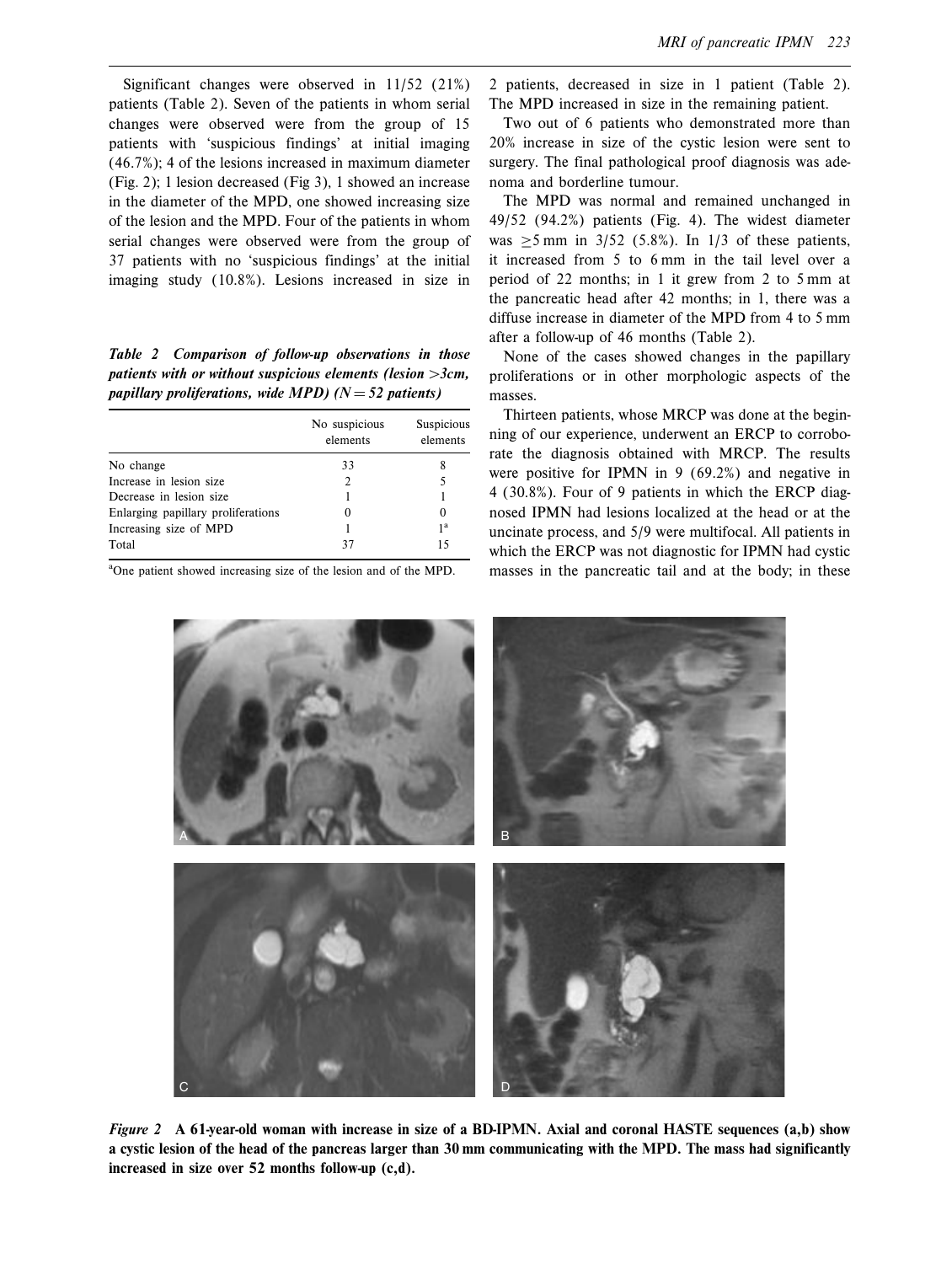Significant changes were observed in 11/52 (21%) patients (Table 2). Seven of the patients in whom serial changes were observed were from the group of 15 patients with 'suspicious findings' at initial imaging (46.7%); 4 of the lesions increased in maximum diameter (Fig. 2); 1 lesion decreased (Fig 3), 1 showed an increase in the diameter of the MPD, one showed increasing size of the lesion and the MPD. Four of the patients in whom serial changes were observed were from the group of 37 patients with no 'suspicious findings' at the initial imaging study (10.8%). Lesions increased in size in

Table 2 Comparison of follow-up observations in those patients with or without suspicious elements (lesion  $>3cm$ , papillary proliferations, wide MPD) ( $N = 52$  patients)

|                                    | No suspicious<br>elements | Suspicious<br>elements |
|------------------------------------|---------------------------|------------------------|
| No change                          | 33                        |                        |
| Increase in lesion size            |                           |                        |
| Decrease in lesion size            |                           |                        |
| Enlarging papillary proliferations |                           | 0                      |
| Increasing size of MPD             |                           | 1 <sup>a</sup>         |
| Total                              | 37                        | 15                     |

<sup>a</sup>One patient showed increasing size of the lesion and of the MPD.

2 patients, decreased in size in 1 patient (Table 2). The MPD increased in size in the remaining patient.

Two out of 6 patients who demonstrated more than 20% increase in size of the cystic lesion were sent to surgery. The final pathological proof diagnosis was adenoma and borderline tumour.

The MPD was normal and remained unchanged in 49/52 (94.2%) patients (Fig. 4). The widest diameter was  $>5$  mm in 3/52 (5.8%). In 1/3 of these patients, it increased from 5 to 6 mm in the tail level over a period of 22 months; in 1 it grew from 2 to 5 mm at the pancreatic head after 42 months; in 1, there was a diffuse increase in diameter of the MPD from 4 to 5 mm after a follow-up of 46 months (Table 2).

None of the cases showed changes in the papillary proliferations or in other morphologic aspects of the masses.

Thirteen patients, whose MRCP was done at the beginning of our experience, underwent an ERCP to corroborate the diagnosis obtained with MRCP. The results were positive for IPMN in 9 (69.2%) and negative in 4 (30.8%). Four of 9 patients in which the ERCP diagnosed IPMN had lesions localized at the head or at the uncinate process, and 5/9 were multifocal. All patients in which the ERCP was not diagnostic for IPMN had cystic masses in the pancreatic tail and at the body; in these



Figure 2 A 61-year-old woman with increase in size of a BD-IPMN. Axial and coronal HASTE sequences (a,b) show a cystic lesion of the head of the pancreas larger than 30 mm communicating with the MPD. The mass had significantly increased in size over 52 months follow-up (c,d).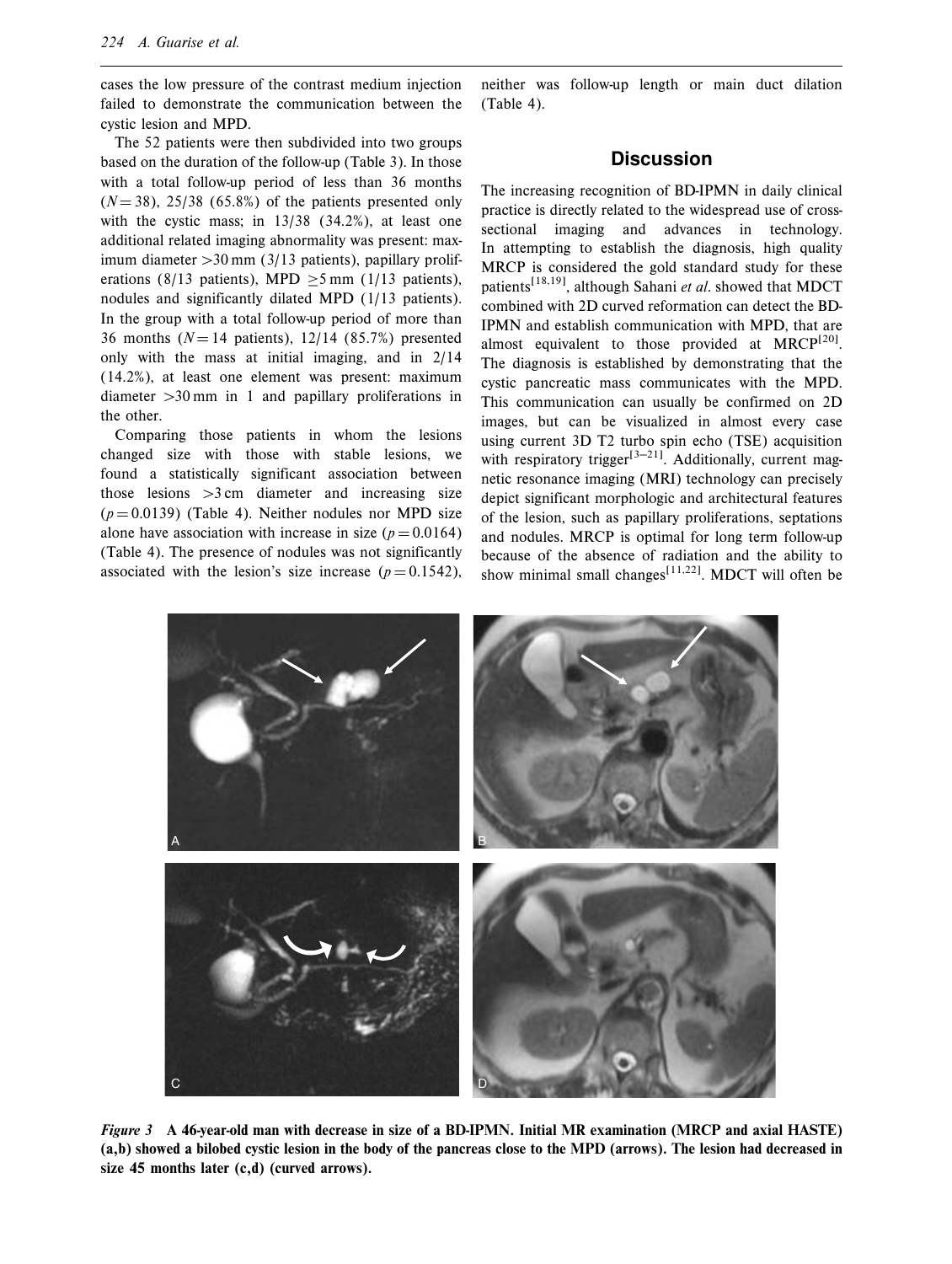cases the low pressure of the contrast medium injection failed to demonstrate the communication between the cystic lesion and MPD.

The 52 patients were then subdivided into two groups based on the duration of the follow-up (Table 3). In those with a total follow-up period of less than 36 months  $(N = 38)$ , 25/38 (65.8%) of the patients presented only with the cystic mass; in 13/38 (34.2%), at least one additional related imaging abnormality was present: maximum diameter  $>30$  mm (3/13 patients), papillary proliferations (8/13 patients), MPD  $\geq$ 5 mm (1/13 patients), nodules and significantly dilated MPD (1/13 patients). In the group with a total follow-up period of more than 36 months ( $N = 14$  patients), 12/14 (85.7%) presented only with the mass at initial imaging, and in 2/14 (14.2%), at least one element was present: maximum diameter  $>30$  mm in 1 and papillary proliferations in the other.

Comparing those patients in whom the lesions changed size with those with stable lesions, we found a statistically significant association between those lesions  $>3$  cm diameter and increasing size  $(p = 0.0139)$  (Table 4). Neither nodules nor MPD size alone have association with increase in size ( $p = 0.0164$ ) (Table 4). The presence of nodules was not significantly associated with the lesion's size increase ( $p = 0.1542$ ),

neither was follow-up length or main duct dilation (Table 4).

# **Discussion**

The increasing recognition of BD-IPMN in daily clinical practice is directly related to the widespread use of crosssectional imaging and advances in technology. In attempting to establish the diagnosis, high quality MRCP is considered the gold standard study for these patients<sup>[18,19]</sup>, although Sahani *et al.* showed that MDCT combined with 2D curved reformation can detect the BD-IPMN and establish communication with MPD, that are almost equivalent to those provided at  $M RCP^{[20]}$ . The diagnosis is established by demonstrating that the cystic pancreatic mass communicates with the MPD. This communication can usually be confirmed on 2D images, but can be visualized in almost every case using current 3D T2 turbo spin echo (TSE) acquisition with respiratory trigger<sup>[3-21]</sup>. Additionally, current magnetic resonance imaging (MRI) technology can precisely depict significant morphologic and architectural features of the lesion, such as papillary proliferations, septations and nodules. MRCP is optimal for long term follow-up because of the absence of radiation and the ability to show minimal small changes<sup>[11,22]</sup>. MDCT will often be



Figure 3 A 46-year-old man with decrease in size of a BD-IPMN. Initial MR examination (MRCP and axial HASTE) (a,b) showed a bilobed cystic lesion in the body of the pancreas close to the MPD (arrows). The lesion had decreased in size 45 months later (c,d) (curved arrows).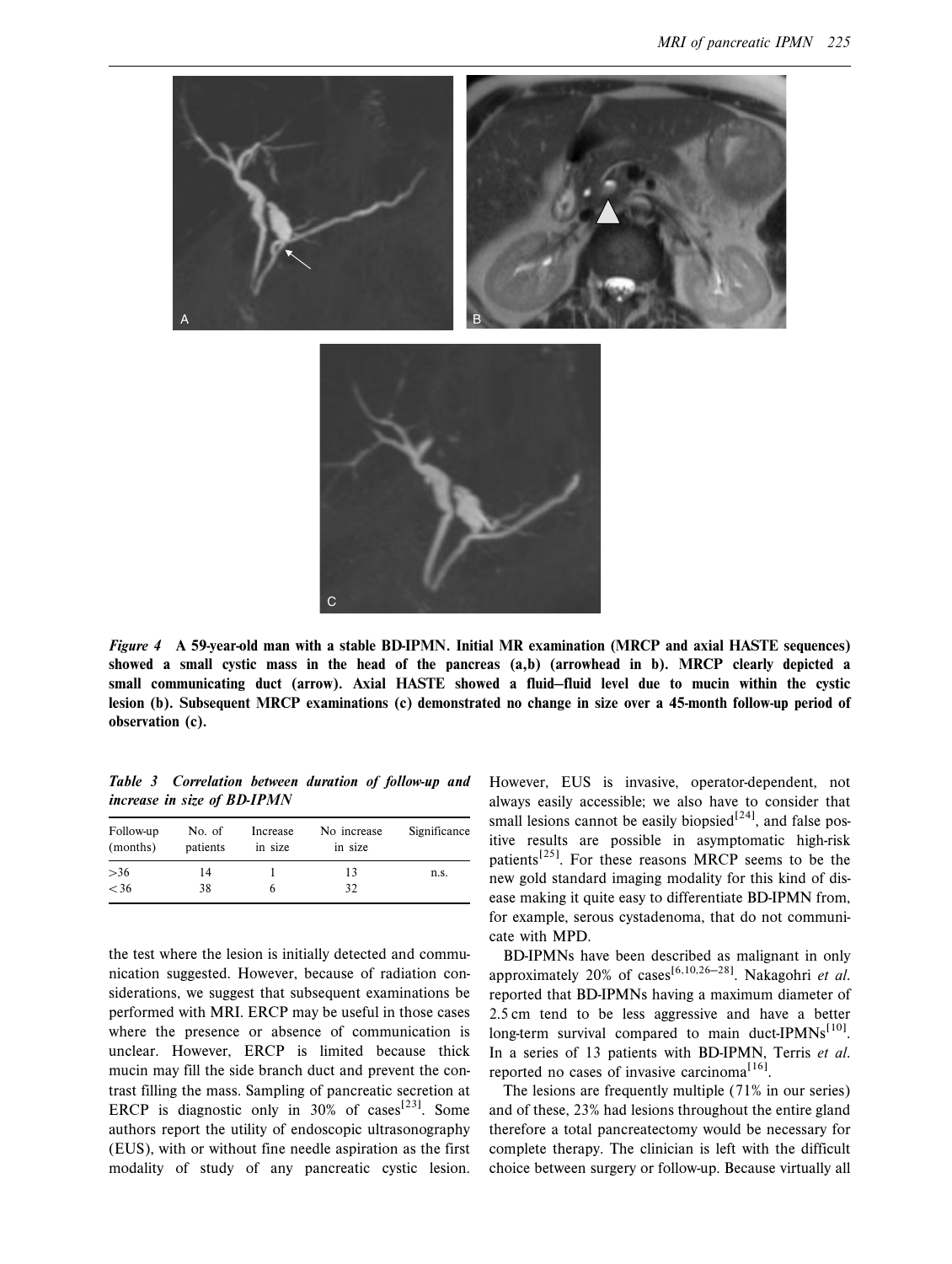

Figure 4 A 59-year-old man with a stable BD-IPMN. Initial MR examination (MRCP and axial HASTE sequences) showed a small cystic mass in the head of the pancreas (a,b) (arrowhead in b). MRCP clearly depicted a small communicating duct (arrow). Axial HASTE showed a fluid-fluid level due to mucin within the cystic lesion (b). Subsequent MRCP examinations (c) demonstrated no change in size over a 45-month follow-up period of observation (c).

Table 3 Correlation between duration of follow-up and increase in size of BD-IPMN

| Follow-up<br>(months) | No. of<br>patients | Increase<br>in size | No increase<br>in size | Significance |
|-----------------------|--------------------|---------------------|------------------------|--------------|
| $>36$                 | 14                 |                     | 13                     | n.s.         |
| < 36                  | 38                 |                     | 32                     |              |

the test where the lesion is initially detected and communication suggested. However, because of radiation considerations, we suggest that subsequent examinations be performed with MRI. ERCP may be useful in those cases where the presence or absence of communication is unclear. However, ERCP is limited because thick mucin may fill the side branch duct and prevent the contrast filling the mass. Sampling of pancreatic secretion at ERCP is diagnostic only in  $30\%$  of cases<sup>[23]</sup>. Some authors report the utility of endoscopic ultrasonography (EUS), with or without fine needle aspiration as the first modality of study of any pancreatic cystic lesion.

However, EUS is invasive, operator-dependent, not always easily accessible; we also have to consider that small lesions cannot be easily biopsied<sup>[24]</sup>, and false positive results are possible in asymptomatic high-risk patients<sup>[25]</sup>. For these reasons MRCP seems to be the new gold standard imaging modality for this kind of disease making it quite easy to differentiate BD-IPMN from, for example, serous cystadenoma, that do not communicate with MPD.

BD-IPMNs have been described as malignant in only approximately 20% of cases<sup>[6,10,26-28]</sup>. Nakagohri et al. reported that BD-IPMNs having a maximum diameter of 2.5 cm tend to be less aggressive and have a better long-term survival compared to main duct-IPMNs $^{[10]}$ . In a series of 13 patients with BD-IPMN, Terris et al. reported no cases of invasive carcinoma<sup>[16]</sup>.

The lesions are frequently multiple (71% in our series) and of these, 23% had lesions throughout the entire gland therefore a total pancreatectomy would be necessary for complete therapy. The clinician is left with the difficult choice between surgery or follow-up. Because virtually all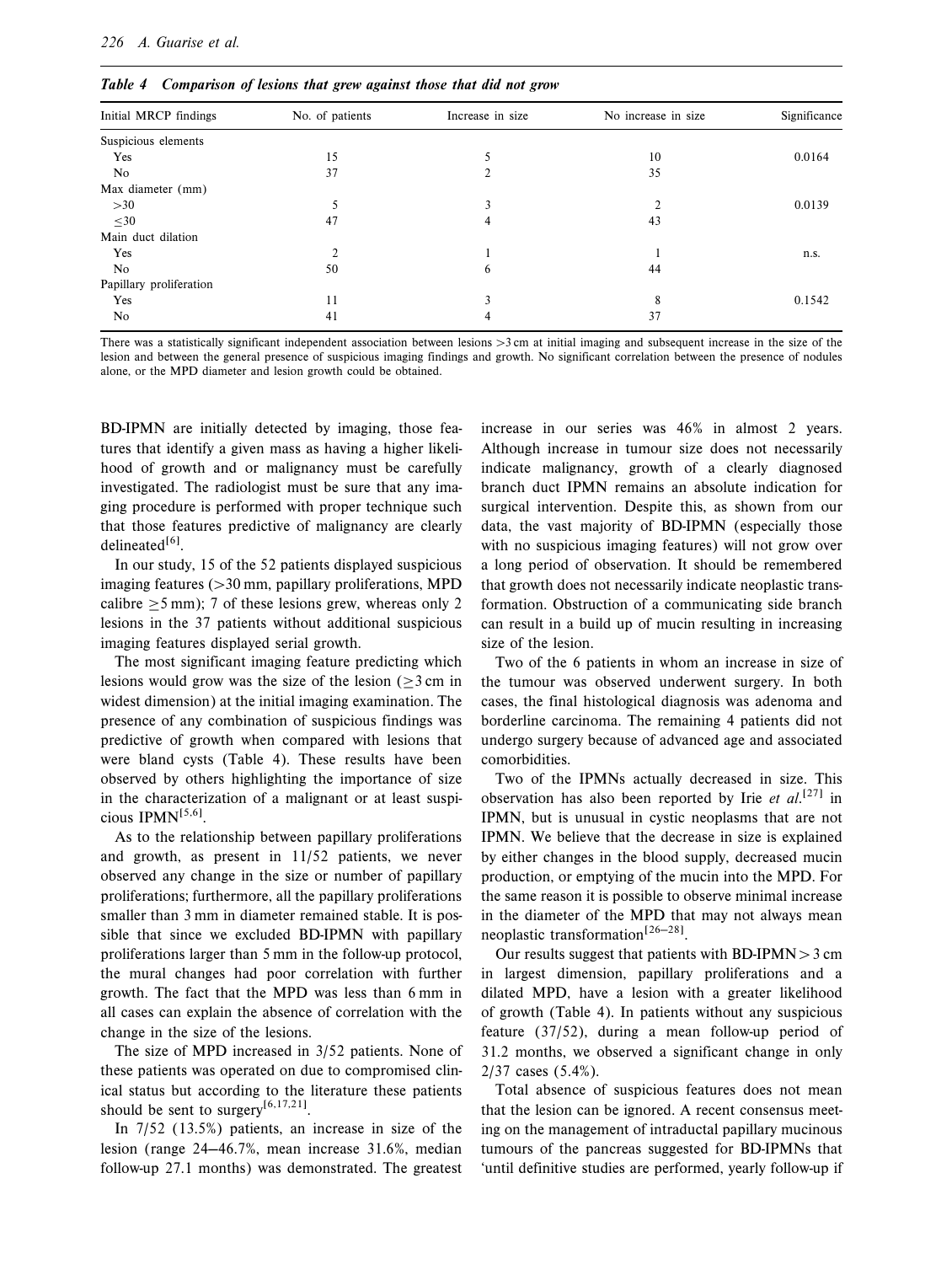| $\cdot$<br>$\cdot$      |                 |                  |                     |              |  |  |
|-------------------------|-----------------|------------------|---------------------|--------------|--|--|
| Initial MRCP findings   | No. of patients | Increase in size | No increase in size | Significance |  |  |
| Suspicious elements     |                 |                  |                     |              |  |  |
| Yes                     | 15              |                  | 10                  | 0.0164       |  |  |
| No.                     | 37              |                  | 35                  |              |  |  |
| Max diameter (mm)       |                 |                  |                     |              |  |  |
| >30                     |                 |                  |                     | 0.0139       |  |  |
| $\leq 30$               | 47              | 4                | 43                  |              |  |  |
| Main duct dilation      |                 |                  |                     |              |  |  |
| Yes                     |                 |                  |                     | n.s.         |  |  |
| No                      | 50              | 6                | 44                  |              |  |  |
| Papillary proliferation |                 |                  |                     |              |  |  |
| Yes                     | 11              | 3                | 8                   | 0.1542       |  |  |
| No                      | 41              | 4                | 37                  |              |  |  |

Table 4 Comparison of lesions that grew against those that did not grow

There was a statistically significant independent association between lesions  $>3$  cm at initial imaging and subsequent increase in the size of the lesion and between the general presence of suspicious imaging findings and growth. No significant correlation between the presence of nodules alone, or the MPD diameter and lesion growth could be obtained.

BD-IPMN are initially detected by imaging, those features that identify a given mass as having a higher likelihood of growth and or malignancy must be carefully investigated. The radiologist must be sure that any imaging procedure is performed with proper technique such that those features predictive of malignancy are clearly delineated $[6]$ .

In our study, 15 of the 52 patients displayed suspicious imaging features  $(>30 \text{ mm}$ , papillary proliferations, MPD calibre  $\geq$ 5 mm); 7 of these lesions grew, whereas only 2 lesions in the 37 patients without additional suspicious imaging features displayed serial growth.

The most significant imaging feature predicting which lesions would grow was the size of the lesion  $(>\frac{3}{2}$  cm in widest dimension) at the initial imaging examination. The presence of any combination of suspicious findings was predictive of growth when compared with lesions that were bland cysts (Table 4). These results have been observed by others highlighting the importance of size in the characterization of a malignant or at least suspicious  $IPMN^{[5,6]}$ .

As to the relationship between papillary proliferations and growth, as present in 11/52 patients, we never observed any change in the size or number of papillary proliferations; furthermore, all the papillary proliferations smaller than 3 mm in diameter remained stable. It is possible that since we excluded BD-IPMN with papillary proliferations larger than 5 mm in the follow-up protocol, the mural changes had poor correlation with further growth. The fact that the MPD was less than 6 mm in all cases can explain the absence of correlation with the change in the size of the lesions.

The size of MPD increased in 3/52 patients. None of these patients was operated on due to compromised clinical status but according to the literature these patients should be sent to surgery<sup>[6,17,21]</sup>.

In 7/52 (13.5%) patients, an increase in size of the lesion (range 24–46.7%, mean increase 31.6%, median follow-up 27.1 months) was demonstrated. The greatest

increase in our series was 46% in almost 2 years. Although increase in tumour size does not necessarily indicate malignancy, growth of a clearly diagnosed branch duct IPMN remains an absolute indication for surgical intervention. Despite this, as shown from our data, the vast majority of BD-IPMN (especially those with no suspicious imaging features) will not grow over a long period of observation. It should be remembered that growth does not necessarily indicate neoplastic transformation. Obstruction of a communicating side branch can result in a build up of mucin resulting in increasing size of the lesion.

Two of the 6 patients in whom an increase in size of the tumour was observed underwent surgery. In both cases, the final histological diagnosis was adenoma and borderline carcinoma. The remaining 4 patients did not undergo surgery because of advanced age and associated comorbidities.

Two of the IPMNs actually decreased in size. This observation has also been reported by Irie et  $al$ <sup>[27]</sup> in IPMN, but is unusual in cystic neoplasms that are not IPMN. We believe that the decrease in size is explained by either changes in the blood supply, decreased mucin production, or emptying of the mucin into the MPD. For the same reason it is possible to observe minimal increase in the diameter of the MPD that may not always mean neoplastic transformation<sup>[26-28]</sup>.

Our results suggest that patients with BD-IPMN  $>$  3 cm in largest dimension, papillary proliferations and a dilated MPD, have a lesion with a greater likelihood of growth (Table 4). In patients without any suspicious feature (37/52), during a mean follow-up period of 31.2 months, we observed a significant change in only 2/37 cases (5.4%).

Total absence of suspicious features does not mean that the lesion can be ignored. A recent consensus meeting on the management of intraductal papillary mucinous tumours of the pancreas suggested for BD-IPMNs that 'until definitive studies are performed, yearly follow-up if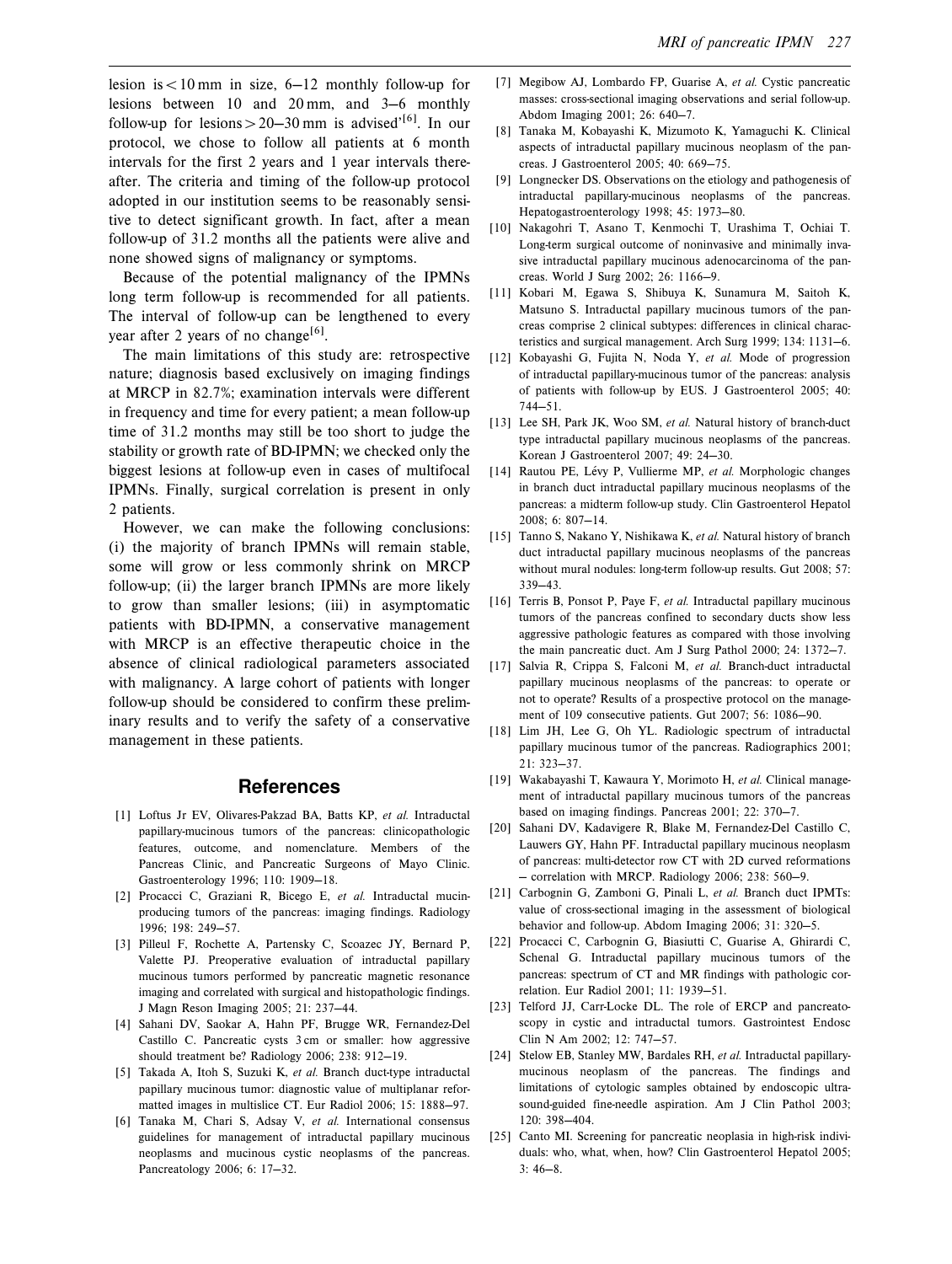lesion is  $< 10$  mm in size, 6-12 monthly follow-up for lesions between 10 and 20 mm, and  $3-6$  monthly follow-up for lesions  $> 20-30$  mm is advised<sup> ${16}$ </sup>. In our protocol, we chose to follow all patients at 6 month intervals for the first 2 years and 1 year intervals thereafter. The criteria and timing of the follow-up protocol adopted in our institution seems to be reasonably sensitive to detect significant growth. In fact, after a mean follow-up of 31.2 months all the patients were alive and none showed signs of malignancy or symptoms.

Because of the potential malignancy of the IPMNs long term follow-up is recommended for all patients. The interval of follow-up can be lengthened to every year after 2 years of no change<sup>[6]</sup>.

The main limitations of this study are: retrospective nature; diagnosis based exclusively on imaging findings at MRCP in 82.7%; examination intervals were different in frequency and time for every patient; a mean follow-up time of 31.2 months may still be too short to judge the stability or growth rate of BD-IPMN; we checked only the biggest lesions at follow-up even in cases of multifocal IPMNs. Finally, surgical correlation is present in only 2 patients.

However, we can make the following conclusions: (i) the majority of branch IPMNs will remain stable, some will grow or less commonly shrink on MRCP follow-up; (ii) the larger branch IPMNs are more likely to grow than smaller lesions; (iii) in asymptomatic patients with BD-IPMN, a conservative management with MRCP is an effective therapeutic choice in the absence of clinical radiological parameters associated with malignancy. A large cohort of patients with longer follow-up should be considered to confirm these preliminary results and to verify the safety of a conservative management in these patients.

### **References**

- [1] Loftus Jr EV, Olivares-Pakzad BA, Batts KP, et al. Intraductal papillary-mucinous tumors of the pancreas: clinicopathologic features, outcome, and nomenclature. Members of the Pancreas Clinic, and Pancreatic Surgeons of Mayo Clinic. Gastroenterology 1996; 110: 1909-18.
- [2] Procacci C, Graziani R, Bicego E, et al. Intraductal mucinproducing tumors of the pancreas: imaging findings. Radiology 1996; 198: 249-57.
- [3] Pilleul F, Rochette A, Partensky C, Scoazec JY, Bernard P, Valette PJ. Preoperative evaluation of intraductal papillary mucinous tumors performed by pancreatic magnetic resonance imaging and correlated with surgical and histopathologic findings. J Magn Reson Imaging 2005; 21: 237-44.
- [4] Sahani DV, Saokar A, Hahn PF, Brugge WR, Fernandez-Del Castillo C. Pancreatic cysts 3 cm or smaller: how aggressive should treatment be? Radiology 2006; 238: 912-19.
- [5] Takada A, Itoh S, Suzuki K, et al. Branch duct-type intraductal papillary mucinous tumor: diagnostic value of multiplanar reformatted images in multislice CT. Eur Radiol 2006; 15: 1888-97.
- [6] Tanaka M, Chari S, Adsay V, et al. International consensus guidelines for management of intraductal papillary mucinous neoplasms and mucinous cystic neoplasms of the pancreas. Pancreatology 2006; 6: 17-32.
- [7] Megibow AJ, Lombardo FP, Guarise A, et al. Cystic pancreatic masses: cross-sectional imaging observations and serial follow-up. Abdom Imaging 2001; 26: 640-7.
- [8] Tanaka M, Kobayashi K, Mizumoto K, Yamaguchi K. Clinical aspects of intraductal papillary mucinous neoplasm of the pancreas. J Gastroenterol 2005; 40: 669-75.
- [9] Longnecker DS. Observations on the etiology and pathogenesis of intraductal papillary-mucinous neoplasms of the pancreas. Hepatogastroenterology 1998; 45: 1973-80.
- [10] Nakagohri T, Asano T, Kenmochi T, Urashima T, Ochiai T. Long-term surgical outcome of noninvasive and minimally invasive intraductal papillary mucinous adenocarcinoma of the pancreas. World J Surg 2002; 26: 1166-9.
- [11] Kobari M, Egawa S, Shibuya K, Sunamura M, Saitoh K, Matsuno S. Intraductal papillary mucinous tumors of the pancreas comprise 2 clinical subtypes: differences in clinical characteristics and surgical management. Arch Surg  $1999: 134: 1131-6.$
- [12] Kobayashi G, Fujita N, Noda Y, et al. Mode of progression of intraductal papillary-mucinous tumor of the pancreas: analysis of patients with follow-up by EUS. J Gastroenterol 2005; 40:  $744 - 51.$
- [13] Lee SH, Park JK, Woo SM, et al. Natural history of branch-duct type intraductal papillary mucinous neoplasms of the pancreas. Korean J Gastroenterol 2007; 49: 24-30.
- [14] Rautou PE, Lévy P, Vullierme MP, et al. Morphologic changes in branch duct intraductal papillary mucinous neoplasms of the pancreas: a midterm follow-up study. Clin Gastroenterol Hepatol  $2008: 6: 807 - 14.$
- [15] Tanno S, Nakano Y, Nishikawa K, et al. Natural history of branch duct intraductal papillary mucinous neoplasms of the pancreas without mural nodules: long-term follow-up results. Gut 2008; 57:  $339 - 43$ .
- [16] Terris B, Ponsot P, Paye F, et al. Intraductal papillary mucinous tumors of the pancreas confined to secondary ducts show less aggressive pathologic features as compared with those involving the main pancreatic duct. Am J Surg Pathol 2000; 24:  $1372-7$ .
- [17] Salvia R, Crippa S, Falconi M, et al. Branch-duct intraductal papillary mucinous neoplasms of the pancreas: to operate or not to operate? Results of a prospective protocol on the management of 109 consecutive patients. Gut 2007; 56: 1086-90.
- [18] Lim JH, Lee G, Oh YL. Radiologic spectrum of intraductal papillary mucinous tumor of the pancreas. Radiographics 2001;  $21: 323 - 37.$
- [19] Wakabayashi T, Kawaura Y, Morimoto H, et al. Clinical management of intraductal papillary mucinous tumors of the pancreas based on imaging findings. Pancreas 2001; 22: 370-7.
- [20] Sahani DV, Kadavigere R, Blake M, Fernandez-Del Castillo C, Lauwers GY, Hahn PF. Intraductal papillary mucinous neoplasm of pancreas: multi-detector row CT with 2D curved reformations - correlation with MRCP. Radiology 2006; 238: 560-9.
- [21] Carbognin G, Zamboni G, Pinali L, et al. Branch duct IPMTs: value of cross-sectional imaging in the assessment of biological behavior and follow-up. Abdom Imaging 2006; 31: 320-5.
- [22] Procacci C, Carbognin G, Biasiutti C, Guarise A, Ghirardi C, Schenal G. Intraductal papillary mucinous tumors of the pancreas: spectrum of CT and MR findings with pathologic correlation. Eur Radiol 2001; 11: 1939-51.
- [23] Telford JJ, Carr-Locke DL. The role of ERCP and pancreatoscopy in cystic and intraductal tumors. Gastrointest Endosc Clin N Am 2002; 12: 747-57.
- [24] Stelow EB, Stanley MW, Bardales RH, et al. Intraductal papillarymucinous neoplasm of the pancreas. The findings and limitations of cytologic samples obtained by endoscopic ultrasound-guided fine-needle aspiration. Am J Clin Pathol 2003; 120: 398-404.
- [25] Canto MI. Screening for pancreatic neoplasia in high-risk individuals: who, what, when, how? Clin Gastroenterol Hepatol 2005;  $3:46 - 8.$